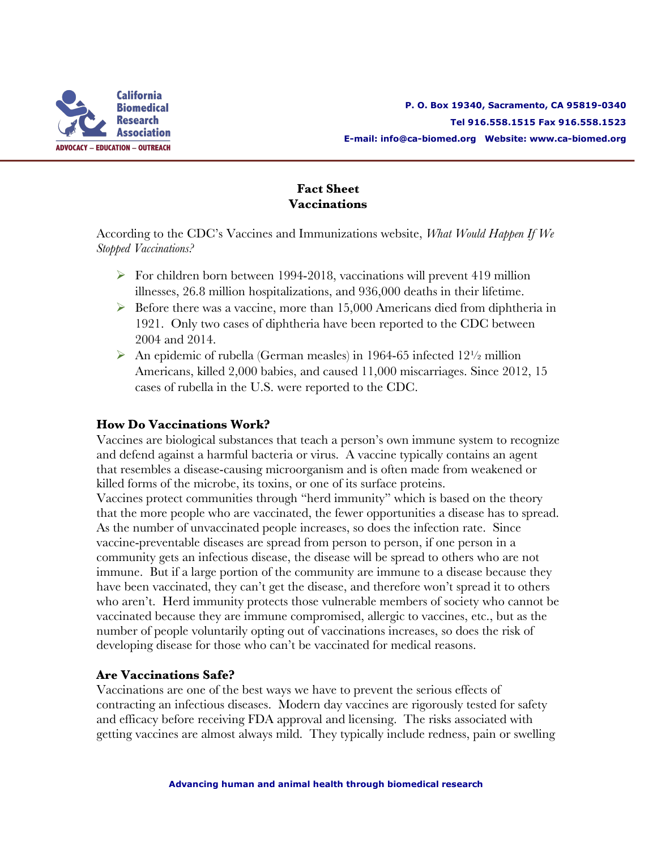

## **Fact Sheet Vaccinations**

According to the CDC's Vaccines and Immunizations website, *What Would Happen If We Stopped Vaccinations?*

- $\triangleright$  For children born between 1994-2018, vaccinations will prevent 419 million illnesses, 26.8 million hospitalizations, and 936,000 deaths in their lifetime.
- $\triangleright$  Before there was a vaccine, more than 15,000 Americans died from diphtheria in 1921. Only two cases of diphtheria have been reported to the CDC between 2004 and 2014.
- An epidemic of rubella (German measles) in 1964-65 infected  $12\frac{1}{2}$  million Americans, killed 2,000 babies, and caused 11,000 miscarriages. Since 2012, 15 cases of rubella in the U.S. were reported to the CDC.

## **How Do Vaccinations Work?**

Vaccines are biological substances that teach a person's own immune system to recognize and defend against a harmful bacteria or virus. A vaccine typically contains an agent that resembles a disease-causing microorganism and is often made from weakened or killed forms of the microbe, its toxins, or one of its surface proteins. Vaccines protect communities through "herd immunity" which is based on the theory that the more people who are vaccinated, the fewer opportunities a disease has to spread. As the number of unvaccinated people increases, so does the infection rate. Since vaccine-preventable diseases are spread from person to person, if one person in a community gets an infectious disease, the disease will be spread to others who are not immune. But if a large portion of the community are immune to a disease because they have been vaccinated, they can't get the disease, and therefore won't spread it to others who aren't. Herd immunity protects those vulnerable members of society who cannot be vaccinated because they are immune compromised, allergic to vaccines, etc., but as the number of people voluntarily opting out of vaccinations increases, so does the risk of developing disease for those who can't be vaccinated for medical reasons.

### **Are Vaccinations Safe?**

Vaccinations are one of the best ways we have to prevent the serious effects of contracting an infectious diseases. Modern day vaccines are rigorously tested for safety and efficacy before receiving FDA approval and licensing. The risks associated with getting vaccines are almost always mild. They typically include redness, pain or swelling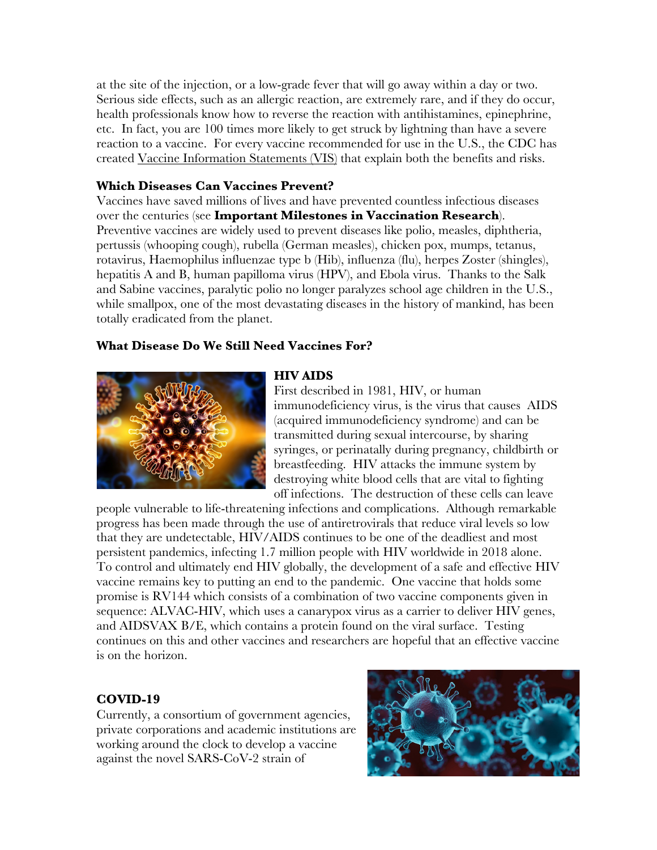at the site of the injection, or a low-grade fever that will go away within a day or two. Serious side effects, such as an allergic reaction, are extremely rare, and if they do occur, health professionals know how to reverse the reaction with antihistamines, epinephrine, etc. In fact, you are 100 times more likely to get struck by lightning than have a severe reaction to a vaccine. For every vaccine recommended for use in the U.S., the CDC has created Vaccine Information Statements (VIS) that explain both the benefits and risks.

### **Which Diseases Can Vaccines Prevent?**

Vaccines have saved millions of lives and have prevented countless infectious diseases over the centuries (see **Important Milestones in Vaccination Research**). Preventive vaccines are widely used to prevent diseases like polio, measles, diphtheria, pertussis (whooping cough), rubella (German measles), chicken pox, mumps, tetanus, rotavirus, Haemophilus influenzae type b (Hib), influenza (flu), herpes Zoster (shingles), hepatitis A and B, human papilloma virus (HPV), and Ebola virus. Thanks to the Salk and Sabine vaccines, paralytic polio no longer paralyzes school age children in the U.S., while smallpox, one of the most devastating diseases in the history of mankind, has been totally eradicated from the planet.

## **What Disease Do We Still Need Vaccines For?**



#### **HIV AIDS**

First described in 1981, HIV, or human immunodeficiency virus, is the virus that causes AIDS (acquired immunodeficiency syndrome) and can be transmitted during sexual intercourse, by sharing syringes, or perinatally during pregnancy, childbirth or breastfeeding. HIV attacks the immune system by destroying white blood cells that are vital to fighting off infections. The destruction of these cells can leave

people vulnerable to life-threatening infections and complications. Although remarkable progress has been made through the use of antiretrovirals that reduce viral levels so low that they are undetectable, HIV/AIDS continues to be one of the deadliest and most persistent pandemics, infecting 1.7 million people with HIV worldwide in 2018 alone. To control and ultimately end HIV globally, the development of a safe and effective HIV vaccine remains key to putting an end to the pandemic. One vaccine that holds some promise is RV144 which consists of a combination of two vaccine components given in sequence: ALVAC-HIV, which uses a canarypox virus as a carrier to deliver HIV genes, and AIDSVAX B/E, which contains a protein found on the viral surface. Testing continues on this and other vaccines and researchers are hopeful that an effective vaccine is on the horizon.

# **COVID-19**

Currently, a consortium of government agencies, private corporations and academic institutions are working around the clock to develop a vaccine against the novel SARS-CoV-2 strain of

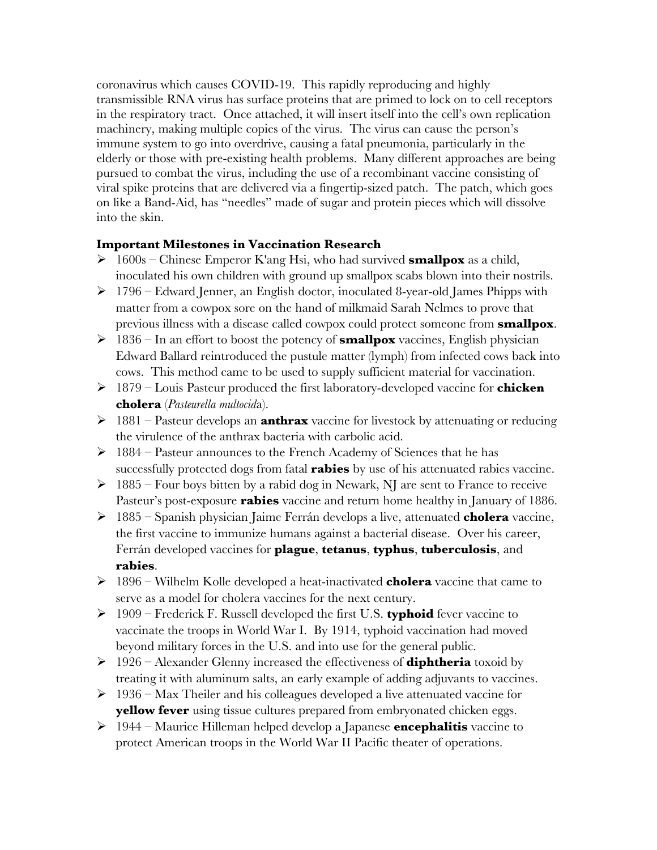coronavirus which causes COVID-19. This rapidly reproducing and highly transmissible RNA virus has surface proteins that are primed to lock on to cell receptors in the respiratory tract. Once attached, it will insert itself into the cell's own replication machinery, making multiple copies of the virus. The virus can cause the person's immune system to go into overdrive, causing a fatal pneumonia, particularly in the elderly or those with pre-existing health problems. Many different approaches are being pursued to combat the virus, including the use of a recombinant vaccine consisting of viral spike proteins that are delivered via a fingertip-sized patch. The patch, which goes on like a Band-Aid, has "needles" made of sugar and protein pieces which will dissolve into the skin.

### **Important Milestones in Vaccination Research**

- $\triangleright$  1600s Chinese Emperor K'ang Hsi, who had survived **smallpox** as a child, inoculated his own children with ground up smallpox scabs blown into their nostrils.
- $\geq 1796$  Edward Jenner, an English doctor, inoculated 8-year-old James Phipps with matter from a cowpox sore on the hand of milkmaid Sarah Nelmes to prove that previous illness with a disease called cowpox could protect someone from **smallpox**.
- Ø 1836 In an effort to boost the potency of **smallpox** vaccines, English physician Edward Ballard reintroduced the pustule matter (lymph) from infected cows back into cows. This method came to be used to supply sufficient material for vaccination.
- Ø 1879 Louis Pasteur produced the first laboratory-developed vaccine for **chicken cholera** (*Pasteurella multocid*a).
- Ø 1881 Pasteur develops an **anthrax** vaccine for livestock by attenuating or reducing the virulence of the anthrax bacteria with carbolic acid.
- $\triangleright$  1884 Pasteur announces to the French Academy of Sciences that he has successfully protected dogs from fatal **rabies** by use of his attenuated rabies vaccine.
- $\geq 1885$  Four boys bitten by a rabid dog in Newark, NJ are sent to France to receive Pasteur's post-exposure **rabies** vaccine and return home healthy in January of 1886.
- Ø 1885 Spanish physician Jaime Ferrán develops a live, attenuated **cholera** vaccine, the first vaccine to immunize humans against a bacterial disease. Over his career, Ferrán developed vaccines for **plague**, **tetanus**, **typhus**, **tuberculosis**, and **rabies**.
- Ø 1896 Wilhelm Kolle developed a heat-inactivated **cholera** vaccine that came to serve as a model for cholera vaccines for the next century.
- Ø 1909 Frederick F. Russell developed the first U.S. **typhoid** fever vaccine to vaccinate the troops in World War I. By 1914, typhoid vaccination had moved beyond military forces in the U.S. and into use for the general public.
- Ø 1926 Alexander Glenny increased the effectiveness of **diphtheria** toxoid by treating it with aluminum salts, an early example of adding adjuvants to vaccines.
- $\geq 1936$  Max Theiler and his colleagues developed a live attenuated vaccine for **yellow fever** using tissue cultures prepared from embryonated chicken eggs.
- Ø 1944 Maurice Hilleman helped develop a Japanese **encephalitis** vaccine to protect American troops in the World War II Pacific theater of operations.